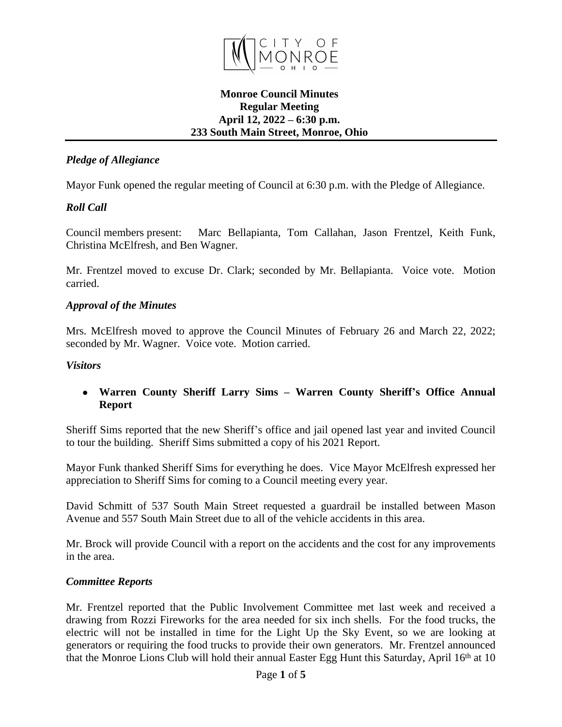

### **Monroe Council Minutes Regular Meeting April 12, 2022 – 6:30 p.m. 233 South Main Street, Monroe, Ohio**

# *Pledge of Allegiance*

Mayor Funk opened the regular meeting of Council at 6:30 p.m. with the Pledge of Allegiance.

# *Roll Call*

Council members present: Marc Bellapianta, Tom Callahan, Jason Frentzel, Keith Funk, Christina McElfresh, and Ben Wagner.

Mr. Frentzel moved to excuse Dr. Clark; seconded by Mr. Bellapianta. Voice vote. Motion carried.

### *Approval of the Minutes*

Mrs. McElfresh moved to approve the Council Minutes of February 26 and March 22, 2022; seconded by Mr. Wagner. Voice vote. Motion carried.

### *Visitors*

 **Warren County Sheriff Larry Sims – Warren County Sheriff's Office Annual Report**

Sheriff Sims reported that the new Sheriff's office and jail opened last year and invited Council to tour the building. Sheriff Sims submitted a copy of his 2021 Report.

Mayor Funk thanked Sheriff Sims for everything he does. Vice Mayor McElfresh expressed her appreciation to Sheriff Sims for coming to a Council meeting every year.

David Schmitt of 537 South Main Street requested a guardrail be installed between Mason Avenue and 557 South Main Street due to all of the vehicle accidents in this area.

Mr. Brock will provide Council with a report on the accidents and the cost for any improvements in the area.

#### *Committee Reports*

Mr. Frentzel reported that the Public Involvement Committee met last week and received a drawing from Rozzi Fireworks for the area needed for six inch shells. For the food trucks, the electric will not be installed in time for the Light Up the Sky Event, so we are looking at generators or requiring the food trucks to provide their own generators. Mr. Frentzel announced that the Monroe Lions Club will hold their annual Easter Egg Hunt this Saturday, April 16th at 10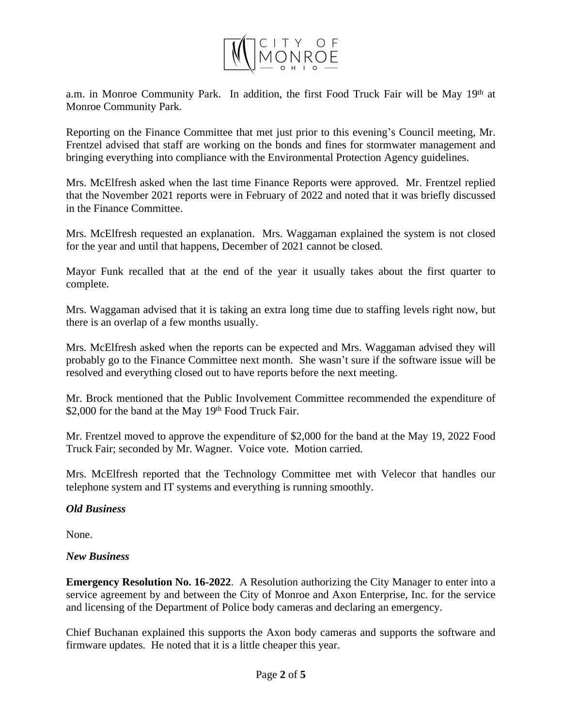

a.m. in Monroe Community Park. In addition, the first Food Truck Fair will be May  $19<sup>th</sup>$  at Monroe Community Park.

Reporting on the Finance Committee that met just prior to this evening's Council meeting, Mr. Frentzel advised that staff are working on the bonds and fines for stormwater management and bringing everything into compliance with the Environmental Protection Agency guidelines.

Mrs. McElfresh asked when the last time Finance Reports were approved. Mr. Frentzel replied that the November 2021 reports were in February of 2022 and noted that it was briefly discussed in the Finance Committee.

Mrs. McElfresh requested an explanation. Mrs. Waggaman explained the system is not closed for the year and until that happens, December of 2021 cannot be closed.

Mayor Funk recalled that at the end of the year it usually takes about the first quarter to complete.

Mrs. Waggaman advised that it is taking an extra long time due to staffing levels right now, but there is an overlap of a few months usually.

Mrs. McElfresh asked when the reports can be expected and Mrs. Waggaman advised they will probably go to the Finance Committee next month. She wasn't sure if the software issue will be resolved and everything closed out to have reports before the next meeting.

Mr. Brock mentioned that the Public Involvement Committee recommended the expenditure of \$2,000 for the band at the May 19th Food Truck Fair.

Mr. Frentzel moved to approve the expenditure of \$2,000 for the band at the May 19, 2022 Food Truck Fair; seconded by Mr. Wagner. Voice vote. Motion carried.

Mrs. McElfresh reported that the Technology Committee met with Velecor that handles our telephone system and IT systems and everything is running smoothly.

# *Old Business*

None.

# *New Business*

**Emergency Resolution No. 16-2022**. A Resolution authorizing the City Manager to enter into a service agreement by and between the City of Monroe and Axon Enterprise, Inc. for the service and licensing of the Department of Police body cameras and declaring an emergency.

Chief Buchanan explained this supports the Axon body cameras and supports the software and firmware updates. He noted that it is a little cheaper this year.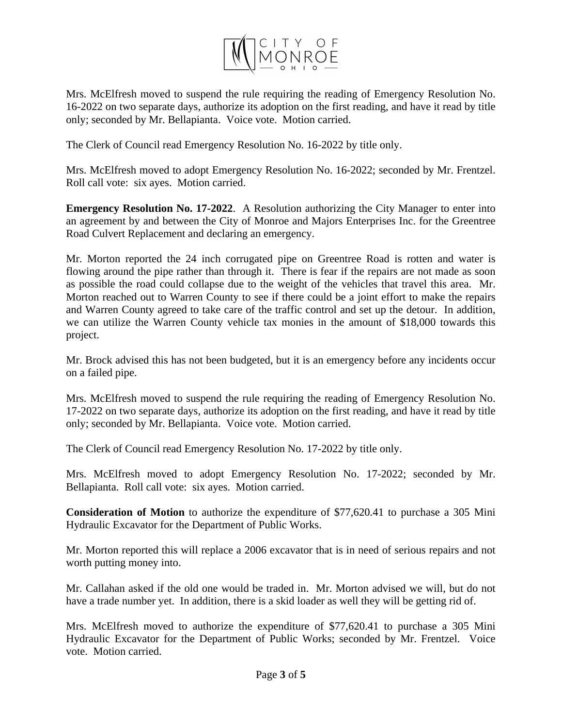

Mrs. McElfresh moved to suspend the rule requiring the reading of Emergency Resolution No. 16-2022 on two separate days, authorize its adoption on the first reading, and have it read by title only; seconded by Mr. Bellapianta. Voice vote. Motion carried.

The Clerk of Council read Emergency Resolution No. 16-2022 by title only.

Mrs. McElfresh moved to adopt Emergency Resolution No. 16-2022; seconded by Mr. Frentzel. Roll call vote: six ayes. Motion carried.

**Emergency Resolution No. 17-2022**. A Resolution authorizing the City Manager to enter into an agreement by and between the City of Monroe and Majors Enterprises Inc. for the Greentree Road Culvert Replacement and declaring an emergency.

Mr. Morton reported the 24 inch corrugated pipe on Greentree Road is rotten and water is flowing around the pipe rather than through it. There is fear if the repairs are not made as soon as possible the road could collapse due to the weight of the vehicles that travel this area. Mr. Morton reached out to Warren County to see if there could be a joint effort to make the repairs and Warren County agreed to take care of the traffic control and set up the detour. In addition, we can utilize the Warren County vehicle tax monies in the amount of \$18,000 towards this project.

Mr. Brock advised this has not been budgeted, but it is an emergency before any incidents occur on a failed pipe.

Mrs. McElfresh moved to suspend the rule requiring the reading of Emergency Resolution No. 17-2022 on two separate days, authorize its adoption on the first reading, and have it read by title only; seconded by Mr. Bellapianta. Voice vote. Motion carried.

The Clerk of Council read Emergency Resolution No. 17-2022 by title only.

Mrs. McElfresh moved to adopt Emergency Resolution No. 17-2022; seconded by Mr. Bellapianta. Roll call vote: six ayes. Motion carried.

**Consideration of Motion** to authorize the expenditure of \$77,620.41 to purchase a 305 Mini Hydraulic Excavator for the Department of Public Works.

Mr. Morton reported this will replace a 2006 excavator that is in need of serious repairs and not worth putting money into.

Mr. Callahan asked if the old one would be traded in. Mr. Morton advised we will, but do not have a trade number yet. In addition, there is a skid loader as well they will be getting rid of.

Mrs. McElfresh moved to authorize the expenditure of \$77,620.41 to purchase a 305 Mini Hydraulic Excavator for the Department of Public Works; seconded by Mr. Frentzel. Voice vote. Motion carried.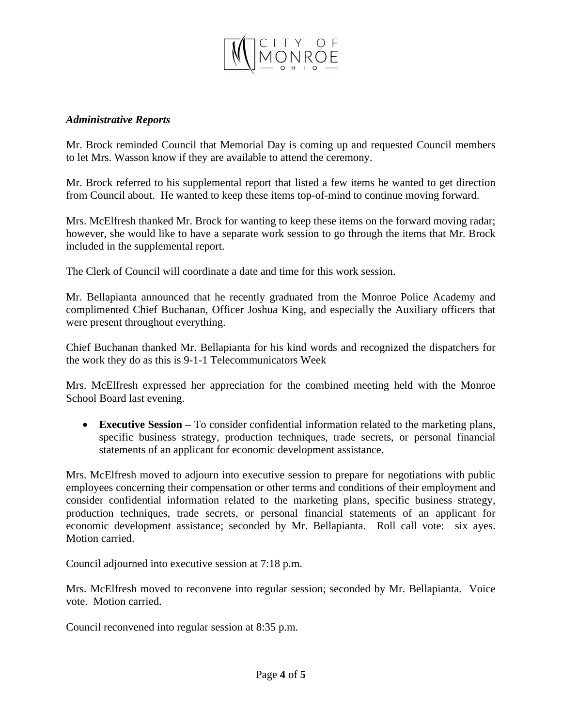

#### *Administrative Reports*

Mr. Brock reminded Council that Memorial Day is coming up and requested Council members to let Mrs. Wasson know if they are available to attend the ceremony.

Mr. Brock referred to his supplemental report that listed a few items he wanted to get direction from Council about. He wanted to keep these items top-of-mind to continue moving forward.

Mrs. McElfresh thanked Mr. Brock for wanting to keep these items on the forward moving radar; however, she would like to have a separate work session to go through the items that Mr. Brock included in the supplemental report.

The Clerk of Council will coordinate a date and time for this work session.

Mr. Bellapianta announced that he recently graduated from the Monroe Police Academy and complimented Chief Buchanan, Officer Joshua King, and especially the Auxiliary officers that were present throughout everything.

Chief Buchanan thanked Mr. Bellapianta for his kind words and recognized the dispatchers for the work they do as this is 9-1-1 Telecommunicators Week

Mrs. McElfresh expressed her appreciation for the combined meeting held with the Monroe School Board last evening.

 **Executive Session –** To consider confidential information related to the marketing plans, specific business strategy, production techniques, trade secrets, or personal financial statements of an applicant for economic development assistance.

Mrs. McElfresh moved to adjourn into executive session to prepare for negotiations with public employees concerning their compensation or other terms and conditions of their employment and consider confidential information related to the marketing plans, specific business strategy, production techniques, trade secrets, or personal financial statements of an applicant for economic development assistance; seconded by Mr. Bellapianta. Roll call vote: six ayes. Motion carried.

Council adjourned into executive session at 7:18 p.m.

Mrs. McElfresh moved to reconvene into regular session; seconded by Mr. Bellapianta. Voice vote. Motion carried.

Council reconvened into regular session at 8:35 p.m.